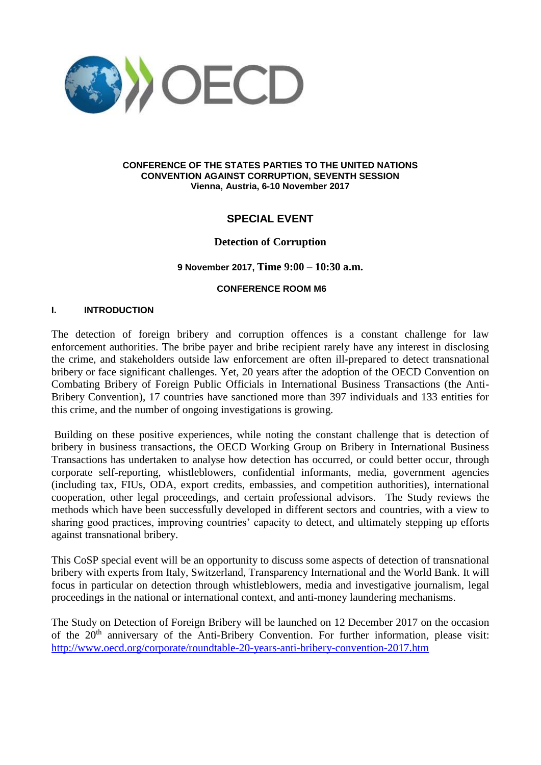

#### **CONFERENCE OF THE STATES PARTIES TO THE UNITED NATIONS CONVENTION AGAINST CORRUPTION, SEVENTH SESSION Vienna, Austria, 6-10 November 2017**

# **SPECIAL EVENT**

## **Detection of Corruption**

### **9 November 2017, Time 9:00 – 10:30 a.m.**

#### **CONFERENCE ROOM M6**

### **I. INTRODUCTION**

The detection of foreign bribery and corruption offences is a constant challenge for law enforcement authorities. The bribe payer and bribe recipient rarely have any interest in disclosing the crime, and stakeholders outside law enforcement are often ill-prepared to detect transnational bribery or face significant challenges. Yet, 20 years after the adoption of the OECD Convention on Combating Bribery of Foreign Public Officials in International Business Transactions (the Anti-Bribery Convention), 17 countries have sanctioned more than 397 individuals and 133 entities for this crime, and the number of ongoing investigations is growing.

Building on these positive experiences, while noting the constant challenge that is detection of bribery in business transactions, the OECD Working Group on Bribery in International Business Transactions has undertaken to analyse how detection has occurred, or could better occur, through corporate self-reporting, whistleblowers, confidential informants, media, government agencies (including tax, FIUs, ODA, export credits, embassies, and competition authorities), international cooperation, other legal proceedings, and certain professional advisors. The Study reviews the methods which have been successfully developed in different sectors and countries, with a view to sharing good practices, improving countries' capacity to detect, and ultimately stepping up efforts against transnational bribery.

This CoSP special event will be an opportunity to discuss some aspects of detection of transnational bribery with experts from Italy, Switzerland, Transparency International and the World Bank. It will focus in particular on detection through whistleblowers, media and investigative journalism, legal proceedings in the national or international context, and anti-money laundering mechanisms.

The Study on Detection of Foreign Bribery will be launched on 12 December 2017 on the occasion of the 20<sup>th</sup> anniversary of the Anti-Bribery Convention. For further information, please visit: <http://www.oecd.org/corporate/roundtable-20-years-anti-bribery-convention-2017.htm>